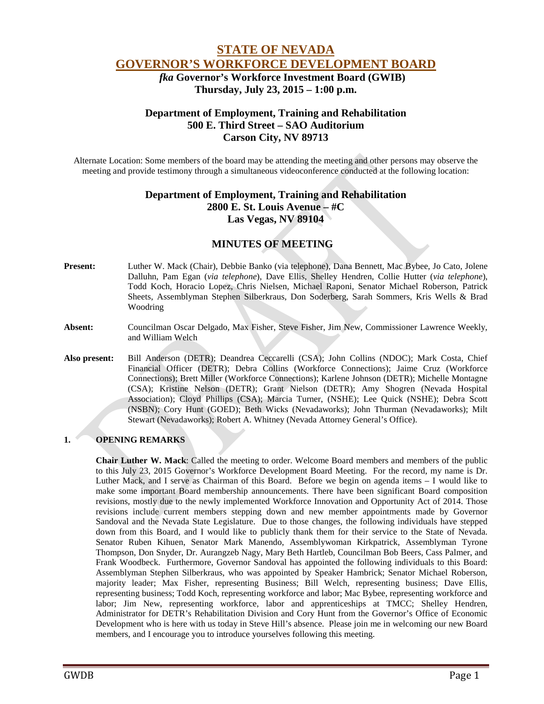# **STATE OF NEVADA GOVERNOR'S WORKFORCE DEVELOPMENT BOARD**

 *fka* **Governor's Workforce Investment Board (GWIB) Thursday, July 23, 2015 – 1:00 p.m.**

# **Department of Employment, Training and Rehabilitation 500 E. Third Street – SAO Auditorium Carson City, NV 89713**

Alternate Location: Some members of the board may be attending the meeting and other persons may observe the meeting and provide testimony through a simultaneous videoconference conducted at the following location:

## **Department of Employment, Training and Rehabilitation 2800 E. St. Louis Avenue – #C Las Vegas, NV 89104**

# **MINUTES OF MEETING**

- **Present:** Luther W. Mack (Chair), Debbie Banko (via telephone), Dana Bennett, Mac Bybee, Jo Cato, Jolene Dalluhn, Pam Egan (*via telephone*), Dave Ellis, Shelley Hendren, Collie Hutter (*via telephone*), Todd Koch, Horacio Lopez, Chris Nielsen, Michael Raponi, Senator Michael Roberson, Patrick Sheets, Assemblyman Stephen Silberkraus, Don Soderberg, Sarah Sommers, Kris Wells & Brad Woodring
- **Absent:** Councilman Oscar Delgado, Max Fisher, Steve Fisher, Jim New, Commissioner Lawrence Weekly, and William Welch
- **Also present:** Bill Anderson (DETR); Deandrea Ceccarelli (CSA); John Collins (NDOC); Mark Costa, Chief Financial Officer (DETR); Debra Collins (Workforce Connections); Jaime Cruz (Workforce Connections); Brett Miller (Workforce Connections); Karlene Johnson (DETR); Michelle Montagne (CSA); Kristine Nelson (DETR); Grant Nielson (DETR); Amy Shogren (Nevada Hospital Association); Cloyd Phillips (CSA); Marcia Turner, (NSHE); Lee Quick (NSHE); Debra Scott (NSBN); Cory Hunt (GOED); Beth Wicks (Nevadaworks); John Thurman (Nevadaworks); Milt Stewart (Nevadaworks); Robert A. Whitney (Nevada Attorney General's Office).

## **1. OPENING REMARKS**

**Chair Luther W. Mack**: Called the meeting to order. Welcome Board members and members of the public to this July 23, 2015 Governor's Workforce Development Board Meeting. For the record, my name is Dr. Luther Mack, and I serve as Chairman of this Board. Before we begin on agenda items – I would like to make some important Board membership announcements. There have been significant Board composition revisions, mostly due to the newly implemented Workforce Innovation and Opportunity Act of 2014. Those revisions include current members stepping down and new member appointments made by Governor Sandoval and the Nevada State Legislature. Due to those changes, the following individuals have stepped down from this Board, and I would like to publicly thank them for their service to the State of Nevada. Senator Ruben Kihuen, Senator Mark Manendo, Assemblywoman Kirkpatrick, Assemblyman Tyrone Thompson, Don Snyder, Dr. Aurangzeb Nagy, Mary Beth Hartleb, Councilman Bob Beers, Cass Palmer, and Frank Woodbeck. Furthermore, Governor Sandoval has appointed the following individuals to this Board: Assemblyman Stephen Silberkraus, who was appointed by Speaker Hambrick; Senator Michael Roberson, majority leader; Max Fisher, representing Business; Bill Welch, representing business; Dave Ellis, representing business; Todd Koch, representing workforce and labor; Mac Bybee, representing workforce and labor; Jim New, representing workforce, labor and apprenticeships at TMCC; Shelley Hendren, Administrator for DETR's Rehabilitation Division and Cory Hunt from the Governor's Office of Economic Development who is here with us today in Steve Hill's absence. Please join me in welcoming our new Board members, and I encourage you to introduce yourselves following this meeting.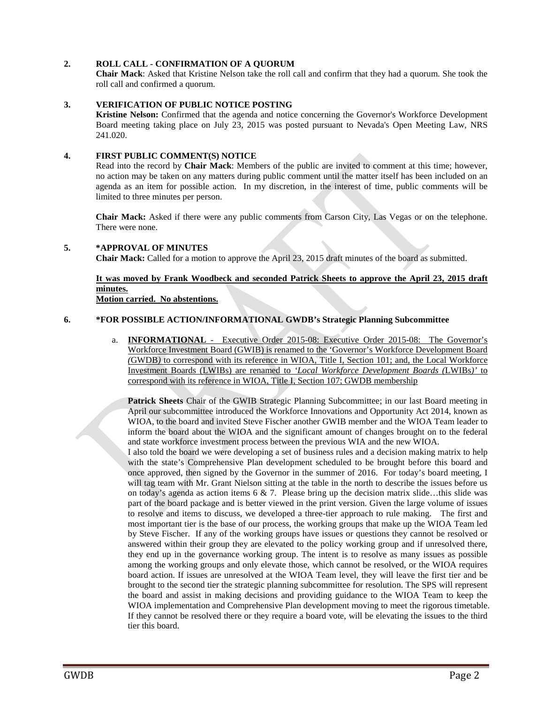## **2. ROLL CALL - CONFIRMATION OF A QUORUM**

**Chair Mack**: Asked that Kristine Nelson take the roll call and confirm that they had a quorum. She took the roll call and confirmed a quorum.

#### **3. VERIFICATION OF PUBLIC NOTICE POSTING**

**Kristine Nelson:** Confirmed that the agenda and notice concerning the Governor's Workforce Development Board meeting taking place on July 23, 2015 was posted pursuant to Nevada's Open Meeting Law, NRS 241.020.

#### **4. FIRST PUBLIC COMMENT(S) NOTICE**

Read into the record by **Chair Mack**: Members of the public are invited to comment at this time; however, no action may be taken on any matters during public comment until the matter itself has been included on an agenda as an item for possible action. In my discretion, in the interest of time, public comments will be limited to three minutes per person.

**Chair Mack:** Asked if there were any public comments from Carson City, Las Vegas or on the telephone. There were none.

#### **5. \*APPROVAL OF MINUTES**

**Chair Mack:** Called for a motion to approve the April 23, 2015 draft minutes of the board as submitted.

## **It was moved by Frank Woodbeck and seconded Patrick Sheets to approve the April 23, 2015 draft minutes.**

**Motion carried. No abstentions.**

#### **6. \*FOR POSSIBLE ACTION/INFORMATIONAL GWDB's Strategic Planning Subcommittee**

a. **INFORMATIONAL** - Executive Order 2015-08: Executive Order 2015-08: The Governor's Workforce Investment Board (GWIB) is renamed to the 'Governor's Workforce Development Board *(*GWDB*)* to correspond with its reference in WIOA, Title I, Section 101; and, the Local Workforce Investment Boards (LWIBs) are renamed to *'Local Workforce Development Boards (*LWIBs*)'* to correspond with its reference in WIOA, Title I, Section 107; GWDB membership

**Patrick Sheets** Chair of the GWIB Strategic Planning Subcommittee; in our last Board meeting in April our subcommittee introduced the Workforce Innovations and Opportunity Act 2014, known as WIOA, to the board and invited Steve Fischer another GWIB member and the WIOA Team leader to inform the board about the WIOA and the significant amount of changes brought on to the federal and state workforce investment process between the previous WIA and the new WIOA.

I also told the board we were developing a set of business rules and a decision making matrix to help with the state's Comprehensive Plan development scheduled to be brought before this board and once approved, then signed by the Governor in the summer of 2016. For today's board meeting, I will tag team with Mr. Grant Nielson sitting at the table in the north to describe the issues before us on today's agenda as action items  $6 \& 7$ . Please bring up the decision matrix slide…this slide was part of the board package and is better viewed in the print version. Given the large volume of issues to resolve and items to discuss, we developed a three-tier approach to rule making. The first and most important tier is the base of our process, the working groups that make up the WIOA Team led by Steve Fischer. If any of the working groups have issues or questions they cannot be resolved or answered within their group they are elevated to the policy working group and if unresolved there, they end up in the governance working group. The intent is to resolve as many issues as possible among the working groups and only elevate those, which cannot be resolved, or the WIOA requires board action. If issues are unresolved at the WIOA Team level, they will leave the first tier and be brought to the second tier the strategic planning subcommittee for resolution. The SPS will represent the board and assist in making decisions and providing guidance to the WIOA Team to keep the WIOA implementation and Comprehensive Plan development moving to meet the rigorous timetable. If they cannot be resolved there or they require a board vote, will be elevating the issues to the third tier this board.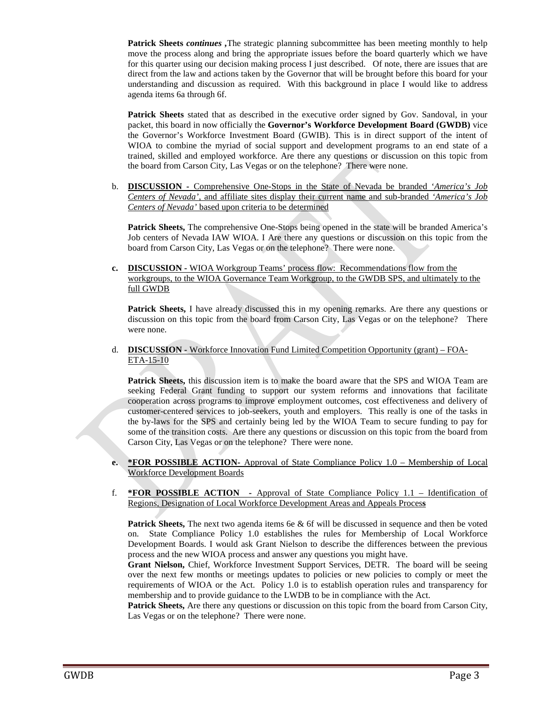**Patrick Sheets** *continues ,*The strategic planning subcommittee has been meeting monthly to help move the process along and bring the appropriate issues before the board quarterly which we have for this quarter using our decision making process I just described. Of note, there are issues that are direct from the law and actions taken by the Governor that will be brought before this board for your understanding and discussion as required. With this background in place I would like to address agenda items 6a through 6f.

**Patrick Sheets** stated that as described in the executive order signed by Gov. Sandoval, in your packet, this board in now officially the **Governor's Workforce Development Board (GWDB)** vice the Governor's Workforce Investment Board (GWIB). This is in direct support of the intent of WIOA to combine the myriad of social support and development programs to an end state of a trained, skilled and employed workforce. Are there any questions or discussion on this topic from the board from Carson City, Las Vegas or on the telephone? There were none.

b. **DISCUSSION -** Comprehensive One-Stops in the State of Nevada be branded '*America's Job Centers of Nevada'*, and affiliate sites display their current name and sub-branded *'America's Job Centers of Nevada'* based upon criteria to be determined

**Patrick Sheets,** The comprehensive One-Stops being opened in the state will be branded America's Job centers of Nevada IAW WIOA. I Are there any questions or discussion on this topic from the board from Carson City, Las Vegas or on the telephone? There were none.

**c. DISCUSSION -** WIOA Workgroup Teams' process flow: Recommendations flow from the workgroups, to the WIOA Governance Team Workgroup, to the GWDB SPS, and ultimately to the full GWDB

**Patrick Sheets,** I have already discussed this in my opening remarks. Are there any questions or discussion on this topic from the board from Carson City, Las Vegas or on the telephone? There were none.

d. **DISCUSSION -** Workforce Innovation Fund Limited Competition Opportunity (grant) – FOA-ETA-15-10

**Patrick Sheets,** this discussion item is to make the board aware that the SPS and WIOA Team are seeking Federal Grant funding to support our system reforms and innovations that facilitate cooperation across programs to improve employment outcomes, cost effectiveness and delivery of customer-centered services to job-seekers, youth and employers. This really is one of the tasks in the by-laws for the SPS and certainly being led by the WIOA Team to secure funding to pay for some of the transition costs. Are there any questions or discussion on this topic from the board from Carson City, Las Vegas or on the telephone? There were none.

- **e. \*FOR POSSIBLE ACTION-** Approval of State Compliance Policy 1.0 Membership of Local Workforce Development Boards
- f. **\*FOR POSSIBLE ACTION -** Approval of State Compliance Policy 1.1 Identification of Regions, Designation of Local Workforce Development Areas and Appeals Proces**s**

**Patrick Sheets,** The next two agenda items 6e & 6f will be discussed in sequence and then be voted on. State Compliance Policy 1.0 establishes the rules for Membership of Local Workforce Development Boards. I would ask Grant Nielson to describe the differences between the previous process and the new WIOA process and answer any questions you might have.

**Grant Nielson,** Chief, Workforce Investment Support Services, DETR. The board will be seeing over the next few months or meetings updates to policies or new policies to comply or meet the requirements of WIOA or the Act. Policy 1.0 is to establish operation rules and transparency for membership and to provide guidance to the LWDB to be in compliance with the Act.

**Patrick Sheets,** Are there any questions or discussion on this topic from the board from Carson City, Las Vegas or on the telephone? There were none.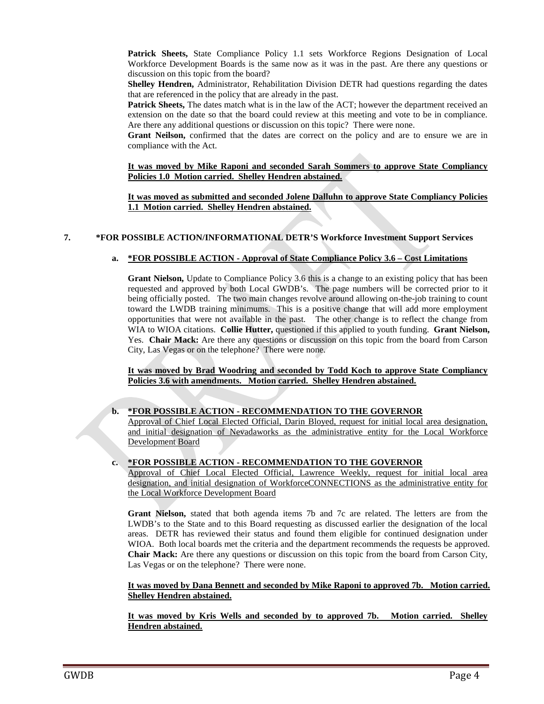**Patrick Sheets,** State Compliance Policy 1.1 sets Workforce Regions Designation of Local Workforce Development Boards is the same now as it was in the past. Are there any questions or discussion on this topic from the board?

**Shelley Hendren,** Administrator, Rehabilitation Division DETR had questions regarding the dates that are referenced in the policy that are already in the past.

**Patrick Sheets,** The dates match what is in the law of the ACT; however the department received an extension on the date so that the board could review at this meeting and vote to be in compliance. Are there any additional questions or discussion on this topic? There were none.

**Grant Neilson,** confirmed that the dates are correct on the policy and are to ensure we are in compliance with the Act.

#### **It was moved by Mike Raponi and seconded Sarah Sommers to approve State Compliancy Policies 1.0 Motion carried. Shelley Hendren abstained.**

**It was moved as submitted and seconded Jolene Dalluhn to approve State Compliancy Policies 1.1 Motion carried. Shelley Hendren abstained.**

## **7. \*FOR POSSIBLE ACTION/INFORMATIONAL DETR'S Workforce Investment Support Services**

## **a. \*FOR POSSIBLE ACTION - Approval of State Compliance Policy 3.6 – Cost Limitations**

**Grant Nielson,** Update to Compliance Policy 3.6 this is a change to an existing policy that has been requested and approved by both Local GWDB's. The page numbers will be corrected prior to it being officially posted. The two main changes revolve around allowing on-the-job training to count toward the LWDB training minimums. This is a positive change that will add more employment opportunities that were not available in the past. The other change is to reflect the change from WIA to WIOA citations. **Collie Hutter,** questioned if this applied to youth funding. **Grant Nielson,** Yes. **Chair Mack:** Are there any questions or discussion on this topic from the board from Carson City, Las Vegas or on the telephone? There were none.

**It was moved by Brad Woodring and seconded by Todd Koch to approve State Compliancy Policies 3.6 with amendments. Motion carried. Shelley Hendren abstained.**

#### **b. \*FOR POSSIBLE ACTION - RECOMMENDATION TO THE GOVERNOR**

Approval of Chief Local Elected Official, Darin Bloyed, request for initial local area designation, and initial designation of Nevadaworks as the administrative entity for the Local Workforce Development Board

#### **c. \*FOR POSSIBLE ACTION - RECOMMENDATION TO THE GOVERNOR**

Approval of Chief Local Elected Official, Lawrence Weekly, request for initial local area designation, and initial designation of WorkforceCONNECTIONS as the administrative entity for the Local Workforce Development Board

**Grant Nielson,** stated that both agenda items 7b and 7c are related. The letters are from the LWDB's to the State and to this Board requesting as discussed earlier the designation of the local areas. DETR has reviewed their status and found them eligible for continued designation under WIOA. Both local boards met the criteria and the department recommends the requests be approved. **Chair Mack:** Are there any questions or discussion on this topic from the board from Carson City, Las Vegas or on the telephone? There were none.

#### **It was moved by Dana Bennett and seconded by Mike Raponi to approved 7b. Motion carried. Shelley Hendren abstained.**

**It was moved by Kris Wells and seconded by to approved 7b. Motion carried. Shelley Hendren abstained.**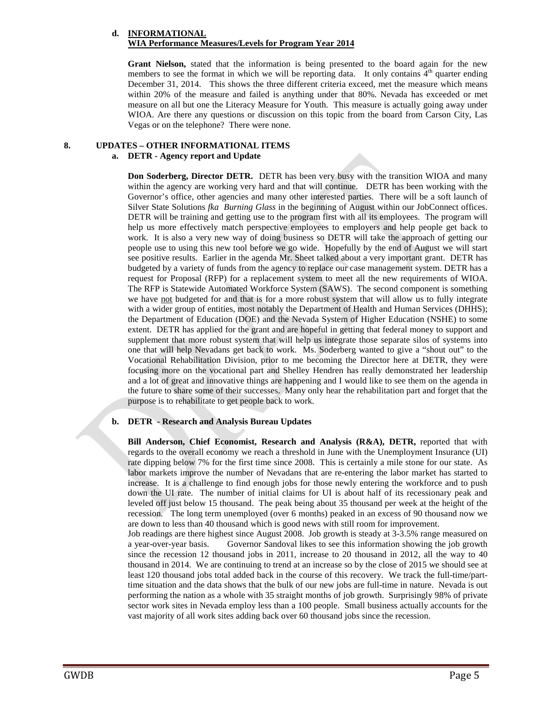## **d. INFORMATIONAL WIA Performance Measures/Levels for Program Year 2014**

**Grant Nielson,** stated that the information is being presented to the board again for the new members to see the format in which we will be reporting data. It only contains  $4<sup>th</sup>$  quarter ending December 31, 2014. This shows the three different criteria exceed, met the measure which means within 20% of the measure and failed is anything under that 80%. Nevada has exceeded or met measure on all but one the Literacy Measure for Youth. This measure is actually going away under WIOA. Are there any questions or discussion on this topic from the board from Carson City, Las Vegas or on the telephone? There were none.

## **8. UPDATES – OTHER INFORMATIONAL ITEMS**

### **a. DETR - Agency report and Update**

**Don Soderberg, Director DETR.** DETR has been very busy with the transition WIOA and many within the agency are working very hard and that will continue. DETR has been working with the Governor's office, other agencies and many other interested parties. There will be a soft launch of Silver State Solutions *fka Burning Glass* in the beginning of August within our JobConnect offices. DETR will be training and getting use to the program first with all its employees. The program will help us more effectively match perspective employees to employers and help people get back to work. It is also a very new way of doing business so DETR will take the approach of getting our people use to using this new tool before we go wide. Hopefully by the end of August we will start see positive results. Earlier in the agenda Mr. Sheet talked about a very important grant. DETR has budgeted by a variety of funds from the agency to replace our case management system. DETR has a request for Proposal (RFP) for a replacement system to meet all the new requirements of WIOA. The RFP is Statewide Automated Workforce System (SAWS). The second component is something we have not budgeted for and that is for a more robust system that will allow us to fully integrate with a wider group of entities, most notably the Department of Health and Human Services (DHHS); the Department of Education (DOE) and the Nevada System of Higher Education (NSHE) to some extent. DETR has applied for the grant and are hopeful in getting that federal money to support and supplement that more robust system that will help us integrate those separate silos of systems into one that will help Nevadans get back to work. Ms. Soderberg wanted to give a "shout out" to the Vocational Rehabilitation Division, prior to me becoming the Director here at DETR, they were focusing more on the vocational part and Shelley Hendren has really demonstrated her leadership and a lot of great and innovative things are happening and I would like to see them on the agenda in the future to share some of their successes. Many only hear the rehabilitation part and forget that the purpose is to rehabilitate to get people back to work.

#### **b. DETR - Research and Analysis Bureau Updates**

**Bill Anderson, Chief Economist, Research and Analysis (R&A), DETR,** reported that with regards to the overall economy we reach a threshold in June with the Unemployment Insurance (UI) rate dipping below 7% for the first time since 2008. This is certainly a mile stone for our state. As labor markets improve the number of Nevadans that are re-entering the labor market has started to increase. It is a challenge to find enough jobs for those newly entering the workforce and to push down the UI rate. The number of initial claims for UI is about half of its recessionary peak and leveled off just below 15 thousand. The peak being about 35 thousand per week at the height of the recession. The long term unemployed (over 6 months) peaked in an excess of 90 thousand now we are down to less than 40 thousand which is good news with still room for improvement.

Job readings are there highest since August 2008. Job growth is steady at 3-3.5% range measured on a year-over-year basis. Governor Sandoval likes to see this information showing the job growth since the recession 12 thousand jobs in 2011, increase to 20 thousand in 2012, all the way to 40 thousand in 2014. We are continuing to trend at an increase so by the close of 2015 we should see at least 120 thousand jobs total added back in the course of this recovery. We track the full-time/parttime situation and the data shows that the bulk of our new jobs are full-time in nature. Nevada is out performing the nation as a whole with 35 straight months of job growth. Surprisingly 98% of private sector work sites in Nevada employ less than a 100 people. Small business actually accounts for the vast majority of all work sites adding back over 60 thousand jobs since the recession.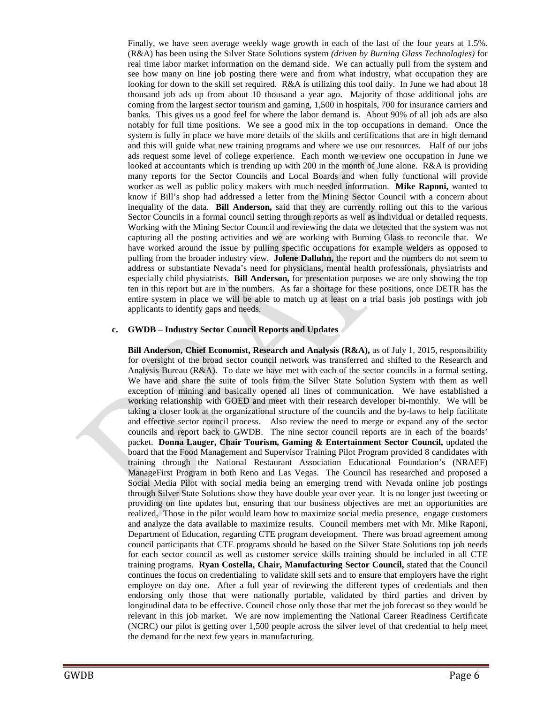Finally, we have seen average weekly wage growth in each of the last of the four years at 1.5%. (R&A) has been using the Silver State Solutions system *(driven by Burning Glass Technologies)* for real time labor market information on the demand side. We can actually pull from the system and see how many on line job posting there were and from what industry, what occupation they are looking for down to the skill set required. R&A is utilizing this tool daily. In June we had about 18 thousand job ads up from about 10 thousand a year ago. Majority of those additional jobs are coming from the largest sector tourism and gaming, 1,500 in hospitals, 700 for insurance carriers and banks. This gives us a good feel for where the labor demand is. About 90% of all job ads are also notably for full time positions. We see a good mix in the top occupations in demand. Once the system is fully in place we have more details of the skills and certifications that are in high demand and this will guide what new training programs and where we use our resources. Half of our jobs ads request some level of college experience. Each month we review one occupation in June we looked at accountants which is trending up with 200 in the month of June alone. R&A is providing many reports for the Sector Councils and Local Boards and when fully functional will provide worker as well as public policy makers with much needed information. **Mike Raponi,** wanted to know if Bill's shop had addressed a letter from the Mining Sector Council with a concern about inequality of the data. **Bill Anderson,** said that they are currently rolling out this to the various Sector Councils in a formal council setting through reports as well as individual or detailed requests. Working with the Mining Sector Council and reviewing the data we detected that the system was not capturing all the posting activities and we are working with Burning Glass to reconcile that. We have worked around the issue by pulling specific occupations for example welders as opposed to pulling from the broader industry view. **Jolene Dalluhn,** the report and the numbers do not seem to address or substantiate Nevada's need for physicians, mental health professionals, physiatrists and especially child physiatrists. **Bill Anderson,** for presentation purposes we are only showing the top ten in this report but are in the numbers. As far a shortage for these positions, once DETR has the entire system in place we will be able to match up at least on a trial basis job postings with job applicants to identify gaps and needs.

#### **c. GWDB – Industry Sector Council Reports and Updates**

**Bill Anderson, Chief Economist, Research and Analysis (R&A),** as of July 1, 2015, responsibility for oversight of the broad sector council network was transferred and shifted to the Research and Analysis Bureau (R&A). To date we have met with each of the sector councils in a formal setting. We have and share the suite of tools from the Silver State Solution System with them as well exception of mining and basically opened all lines of communication. We have established a working relationship with GOED and meet with their research developer bi-monthly. We will be taking a closer look at the organizational structure of the councils and the by-laws to help facilitate and effective sector council process. Also review the need to merge or expand any of the sector councils and report back to GWDB. The nine sector council reports are in each of the boards' packet. **Donna Lauger, Chair Tourism, Gaming & Entertainment Sector Council,** updated the board that the Food Management and Supervisor Training Pilot Program provided 8 candidates with training through the National Restaurant Association Educational Foundation's (NRAEF) ManageFirst Program in both Reno and Las Vegas. The Council has researched and proposed a Social Media Pilot with social media being an emerging trend with Nevada online job postings through Silver State Solutions show they have double year over year. It is no longer just tweeting or providing on line updates but, ensuring that our business objectives are met an opportunities are realized. Those in the pilot would learn how to maximize social media presence, engage customers and analyze the data available to maximize results. Council members met with Mr. Mike Raponi, Department of Education, regarding CTE program development. There was broad agreement among council participants that CTE programs should be based on the Silver State Solutions top job needs for each sector council as well as customer service skills training should be included in all CTE training programs. **Ryan Costella, Chair, Manufacturing Sector Council,** stated that the Council continues the focus on credentialing to validate skill sets and to ensure that employers have the right employee on day one. After a full year of reviewing the different types of credentials and then endorsing only those that were nationally portable, validated by third parties and driven by longitudinal data to be effective. Council chose only those that met the job forecast so they would be relevant in this job market. We are now implementing the National Career Readiness Certificate (NCRC) our pilot is getting over 1,500 people across the silver level of that credential to help meet the demand for the next few years in manufacturing.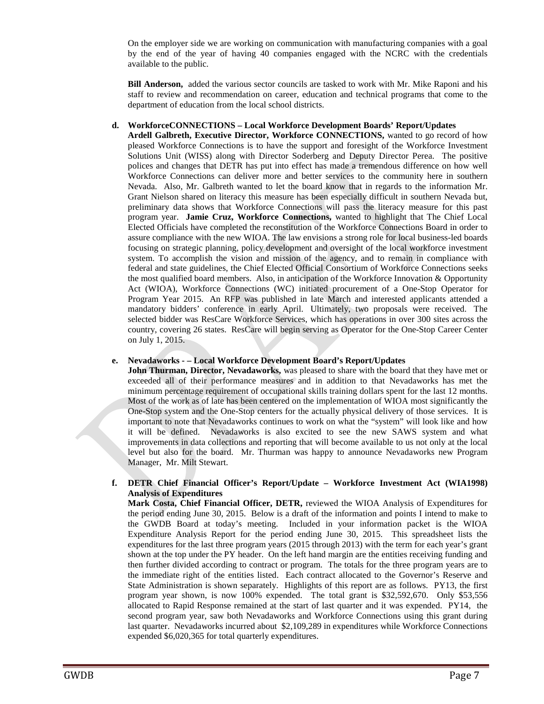On the employer side we are working on communication with manufacturing companies with a goal by the end of the year of having 40 companies engaged with the NCRC with the credentials available to the public.

**Bill Anderson,** added the various sector councils are tasked to work with Mr. Mike Raponi and his staff to review and recommendation on career, education and technical programs that come to the department of education from the local school districts.

### **d. WorkforceCONNECTIONS – Local Workforce Development Boards' Report/Updates**

**Ardell Galbreth, Executive Director, Workforce CONNECTIONS,** wanted to go record of how pleased Workforce Connections is to have the support and foresight of the Workforce Investment Solutions Unit (WISS) along with Director Soderberg and Deputy Director Perea. The positive polices and changes that DETR has put into effect has made a tremendous difference on how well Workforce Connections can deliver more and better services to the community here in southern Nevada. Also, Mr. Galbreth wanted to let the board know that in regards to the information Mr. Grant Nielson shared on literacy this measure has been especially difficult in southern Nevada but, preliminary data shows that Workforce Connections will pass the literacy measure for this past program year. **Jamie Cruz, Workforce Connections,** wanted to highlight that The Chief Local Elected Officials have completed the reconstitution of the Workforce Connections Board in order to assure compliance with the new WIOA. The law envisions a strong role for local business-led boards focusing on strategic planning, policy development and oversight of the local workforce investment system. To accomplish the vision and mission of the agency, and to remain in compliance with federal and state guidelines, the Chief Elected Official Consortium of Workforce Connections seeks the most qualified board members. Also, in anticipation of the Workforce Innovation & Opportunity Act (WIOA), Workforce Connections (WC) initiated procurement of a One-Stop Operator for Program Year 2015. An RFP was published in late March and interested applicants attended a mandatory bidders' conference in early April. Ultimately, two proposals were received. The selected bidder was ResCare Workforce Services, which has operations in over 300 sites across the country, covering 26 states. ResCare will begin serving as Operator for the One-Stop Career Center on July 1, 2015.

## **e. Nevadaworks - – Local Workforce Development Board's Report/Updates**

**John Thurman, Director, Nevadaworks,** was pleased to share with the board that they have met or exceeded all of their performance measures and in addition to that Nevadaworks has met the minimum percentage requirement of occupational skills training dollars spent for the last 12 months. Most of the work as of late has been centered on the implementation of WIOA most significantly the One-Stop system and the One-Stop centers for the actually physical delivery of those services. It is important to note that Nevadaworks continues to work on what the "system" will look like and how it will be defined. Nevadaworks is also excited to see the new SAWS system and what improvements in data collections and reporting that will become available to us not only at the local level but also for the board. Mr. Thurman was happy to announce Nevadaworks new Program Manager, Mr. Milt Stewart.

#### **f. DETR Chief Financial Officer's Report/Update – Workforce Investment Act (WIA1998) Analysis of Expenditures**

**Mark Costa, Chief Financial Officer, DETR,** reviewed the WIOA Analysis of Expenditures for the period ending June 30, 2015. Below is a draft of the information and points I intend to make to the GWDB Board at today's meeting. Included in your information packet is the WIOA Expenditure Analysis Report for the period ending June 30, 2015. This spreadsheet lists the expenditures for the last three program years (2015 through 2013) with the term for each year's grant shown at the top under the PY header. On the left hand margin are the entities receiving funding and then further divided according to contract or program. The totals for the three program years are to the immediate right of the entities listed. Each contract allocated to the Governor's Reserve and State Administration is shown separately. Highlights of this report are as follows. PY13, the first program year shown, is now 100% expended. The total grant is \$32,592,670. Only \$53,556 allocated to Rapid Response remained at the start of last quarter and it was expended. PY14, the second program year, saw both Nevadaworks and Workforce Connections using this grant during last quarter. Nevadaworks incurred about \$2,109,289 in expenditures while Workforce Connections expended \$6,020,365 for total quarterly expenditures.